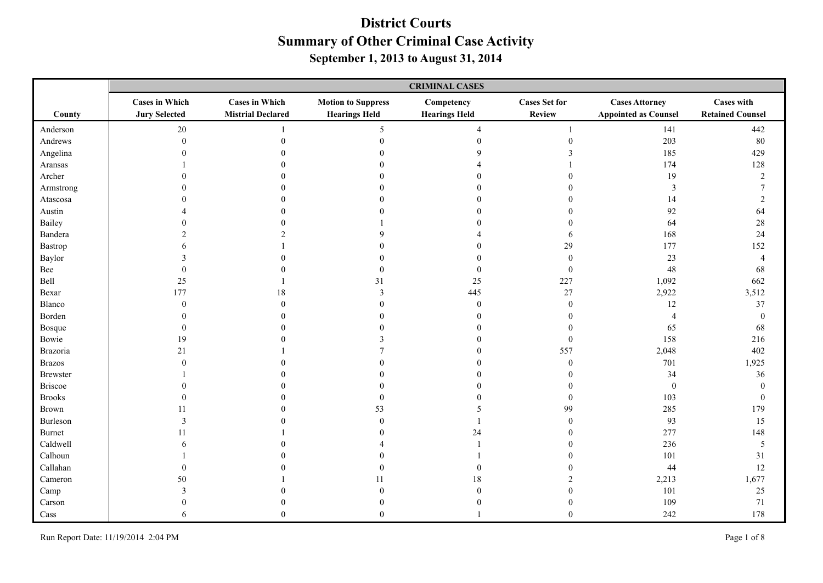|                | <b>CRIMINAL CASES</b>                         |                                                   |                                                   |                                    |                                |                                                      |                                              |
|----------------|-----------------------------------------------|---------------------------------------------------|---------------------------------------------------|------------------------------------|--------------------------------|------------------------------------------------------|----------------------------------------------|
| County         | <b>Cases in Which</b><br><b>Jury Selected</b> | <b>Cases in Which</b><br><b>Mistrial Declared</b> | <b>Motion to Suppress</b><br><b>Hearings Held</b> | Competency<br><b>Hearings Held</b> | <b>Cases Set for</b><br>Review | <b>Cases Attorney</b><br><b>Appointed as Counsel</b> | <b>Cases with</b><br><b>Retained Counsel</b> |
| Anderson       | $20\,$                                        |                                                   | 5                                                 | $\overline{4}$                     | $\mathbf{1}$                   | 141                                                  | 442                                          |
| Andrews        | $\boldsymbol{0}$                              | $\theta$                                          | $\Omega$                                          |                                    | $\mathbf{0}$                   | 203                                                  | 80                                           |
| Angelina       | $\Omega$                                      |                                                   |                                                   | Q                                  |                                | 185                                                  | 429                                          |
| Aransas        |                                               |                                                   |                                                   |                                    |                                | 174                                                  | 128                                          |
| Archer         |                                               |                                                   |                                                   |                                    | $\Omega$                       | 19                                                   | $\sqrt{2}$                                   |
| Armstrong      | 0                                             |                                                   |                                                   |                                    | $\Omega$                       | $\mathfrak{Z}$                                       | $\overline{7}$                               |
| Atascosa       |                                               |                                                   |                                                   |                                    | $\Omega$                       | 14                                                   | $\overline{2}$                               |
| Austin         |                                               |                                                   |                                                   |                                    | $\Omega$                       | 92                                                   | 64                                           |
| Bailey         |                                               |                                                   |                                                   |                                    | $\Omega$                       | 64                                                   | $28\,$                                       |
| Bandera        |                                               |                                                   | $\mathbf Q$                                       |                                    | 6                              | 168                                                  | 24                                           |
| Bastrop        |                                               |                                                   |                                                   |                                    | 29                             | 177                                                  | 152                                          |
| Baylor         |                                               |                                                   |                                                   | $\Omega$                           | $\mathbf{0}$                   | 23                                                   | $\overline{4}$                               |
| Bee            | $\Omega$                                      |                                                   | $\theta$                                          | $\overline{0}$                     | $\mathbf{0}$                   | 48                                                   | 68                                           |
| Bell           | 25                                            |                                                   | 31                                                | 25                                 | $227\,$                        | 1,092                                                | 662                                          |
| Bexar          | 177                                           | 18                                                | $\overline{3}$                                    | 445                                | $27\,$                         | 2,922                                                | 3,512                                        |
| Blanco         | $\mathbf{0}$                                  | $\Omega$                                          |                                                   | $\overline{0}$                     | $\mathbf{0}$                   | 12                                                   | 37                                           |
| Borden         | $\Omega$                                      |                                                   |                                                   |                                    | $\Omega$                       | $\overline{4}$                                       | $\boldsymbol{0}$                             |
| Bosque         | $\theta$                                      |                                                   |                                                   |                                    | $\mathbf{0}$                   | 65                                                   | 68                                           |
| Bowie          | 19                                            |                                                   | 3                                                 |                                    | $\boldsymbol{0}$               | 158                                                  | 216                                          |
| Brazoria       | 21                                            |                                                   |                                                   | $\mathbf{0}$                       | 557                            | 2,048                                                | 402                                          |
| <b>Brazos</b>  | $\theta$                                      |                                                   | $\theta$                                          | $\theta$                           | $\boldsymbol{0}$               | 701                                                  | 1,925                                        |
| Brewster       |                                               |                                                   |                                                   | $\Omega$                           | $\Omega$                       | 34                                                   | 36                                           |
| <b>Briscoe</b> |                                               |                                                   |                                                   |                                    | $\Omega$                       | $\boldsymbol{0}$                                     | $\boldsymbol{0}$                             |
| <b>Brooks</b>  | $\Omega$                                      |                                                   | $\theta$                                          |                                    | $\Omega$                       | 103                                                  | $\boldsymbol{0}$                             |
| <b>Brown</b>   | 11                                            |                                                   | 53                                                |                                    | 99                             | 285                                                  | 179                                          |
| Burleson       | 3                                             |                                                   | $\mathbf{0}$                                      |                                    | $\mathbf{0}$                   | 93                                                   | 15                                           |
| <b>Burnet</b>  | 11                                            |                                                   |                                                   | 24                                 | $\Omega$                       | 277                                                  | 148                                          |
| Caldwell       | 6                                             |                                                   |                                                   |                                    | $\Omega$                       | 236                                                  | $\sqrt{5}$                                   |
| Calhoun        |                                               |                                                   |                                                   |                                    | $\Omega$                       | 101                                                  | 31                                           |
| Callahan       | $\Omega$                                      |                                                   | $\mathbf{0}$                                      | $\theta$                           | $\Omega$                       | 44                                                   | 12                                           |
| Cameron        | 50                                            |                                                   | 11                                                | $18\,$                             | $\mathcal{D}$                  | 2,213                                                | 1,677                                        |
| Camp           |                                               |                                                   |                                                   | $\Omega$                           | $\Omega$                       | 101                                                  | $25\,$                                       |
| Carson         |                                               |                                                   |                                                   |                                    | $\mathbf{0}$                   | 109                                                  | $71\,$                                       |
| Cass           | 6                                             | $\Omega$                                          | $\Omega$                                          |                                    | $\theta$                       | 242                                                  | 178                                          |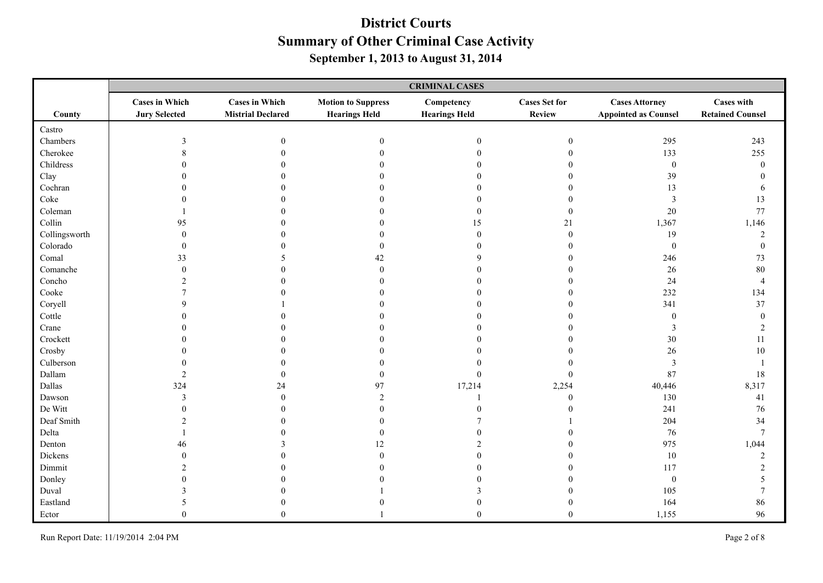|               | <b>CRIMINAL CASES</b>                         |                                                   |                                                   |                                    |                                       |                                                      |                                              |
|---------------|-----------------------------------------------|---------------------------------------------------|---------------------------------------------------|------------------------------------|---------------------------------------|------------------------------------------------------|----------------------------------------------|
| County        | <b>Cases in Which</b><br><b>Jury Selected</b> | <b>Cases in Which</b><br><b>Mistrial Declared</b> | <b>Motion to Suppress</b><br><b>Hearings Held</b> | Competency<br><b>Hearings Held</b> | <b>Cases Set for</b><br><b>Review</b> | <b>Cases Attorney</b><br><b>Appointed as Counsel</b> | <b>Cases with</b><br><b>Retained Counsel</b> |
| Castro        |                                               |                                                   |                                                   |                                    |                                       |                                                      |                                              |
| Chambers      | 3                                             | $\boldsymbol{0}$                                  | $\mathbf{0}$                                      | $\boldsymbol{0}$                   | $\boldsymbol{0}$                      | 295                                                  | 243                                          |
| Cherokee      | 8                                             |                                                   |                                                   | $\theta$                           | $\theta$                              | 133                                                  | 255                                          |
| Childress     |                                               |                                                   |                                                   | $\Omega$                           |                                       | $\boldsymbol{0}$                                     | $\boldsymbol{0}$                             |
| Clay          |                                               |                                                   |                                                   | $\Omega$                           | $\Omega$                              | 39                                                   | $\theta$                                     |
| Cochran       |                                               |                                                   |                                                   | $\bigcap$                          | 0                                     | 13                                                   | 6                                            |
| Coke          |                                               |                                                   |                                                   | $\theta$                           | $\Omega$                              | $\mathfrak{Z}$                                       | 13                                           |
| Coleman       |                                               |                                                   |                                                   | $\theta$                           | $\theta$                              | $20\,$                                               | 77                                           |
| Collin        | 95                                            |                                                   |                                                   | 15                                 | 21                                    | 1,367                                                | 1,146                                        |
| Collingsworth | $\Omega$                                      |                                                   |                                                   | $\mathbf{0}$                       | $\Omega$                              | 19                                                   | $\overline{c}$                               |
| Colorado      |                                               |                                                   | $\theta$                                          | $\bigcap$                          | 0                                     | $\boldsymbol{0}$                                     | $\boldsymbol{0}$                             |
| Comal         | 33                                            |                                                   | 42                                                | q                                  | $\Omega$                              | 246                                                  | $73\,$                                       |
| Comanche      | $\Omega$                                      |                                                   | $\theta$                                          |                                    | 0                                     | $26\,$                                               | 80                                           |
| Concho        |                                               |                                                   |                                                   |                                    | $\theta$                              | 24                                                   | $\overline{4}$                               |
| Cooke         |                                               |                                                   |                                                   |                                    |                                       | 232                                                  | 134                                          |
| Coryell       |                                               |                                                   |                                                   |                                    |                                       | 341                                                  | 37                                           |
| Cottle        |                                               |                                                   |                                                   |                                    |                                       | $\boldsymbol{0}$                                     | $\boldsymbol{0}$                             |
| Crane         |                                               |                                                   |                                                   |                                    |                                       | 3                                                    | $\overline{c}$                               |
| Crockett      |                                               |                                                   |                                                   |                                    |                                       | $30\,$                                               | $11\,$                                       |
| Crosby        |                                               |                                                   |                                                   |                                    |                                       | $26\,$                                               | $10\,$                                       |
| Culberson     |                                               |                                                   |                                                   |                                    |                                       | $\mathfrak{Z}$                                       | $\mathbf{1}$                                 |
| Dallam        | $\overline{2}$                                |                                                   | $\mathbf{0}$                                      | $\boldsymbol{0}$                   | $\mathbf{0}$                          | 87                                                   | 18                                           |
| Dallas        | 324                                           | 24                                                | 97                                                | 17,214                             | 2,254                                 | 40,446                                               | 8,317                                        |
| Dawson        | $\mathbf{3}$                                  | $\Omega$                                          | $\overline{2}$                                    |                                    | $\Omega$                              | 130                                                  | 41                                           |
| De Witt       | $\Omega$                                      |                                                   | $\theta$                                          | $\sqrt{ }$                         | 0                                     | 241                                                  | 76                                           |
| Deaf Smith    | $\mathcal{L}$                                 |                                                   | $\theta$                                          |                                    |                                       | 204                                                  | 34                                           |
| Delta         |                                               |                                                   | $\mathbf{0}$                                      |                                    |                                       | 76                                                   | $7\phantom{.0}$                              |
| Denton        | 46                                            |                                                   | 12                                                |                                    | $\Omega$                              | 975                                                  | 1,044                                        |
| Dickens       | $\Omega$                                      |                                                   | $\Omega$                                          |                                    | 0                                     | $10\,$                                               | $\sqrt{2}$                                   |
| Dimmit        |                                               |                                                   |                                                   |                                    |                                       | 117                                                  | $\overline{c}$                               |
| Donley        |                                               |                                                   |                                                   |                                    |                                       | $\boldsymbol{0}$                                     | 5                                            |
| Duval         |                                               |                                                   |                                                   |                                    |                                       | 105                                                  | $\overline{7}$                               |
| Eastland      | 5                                             |                                                   |                                                   |                                    | $\mathbf{0}$                          | 164                                                  | 86                                           |
| Ector         | $\Omega$                                      |                                                   |                                                   | $\theta$                           | $\Omega$                              | 1,155                                                | 96                                           |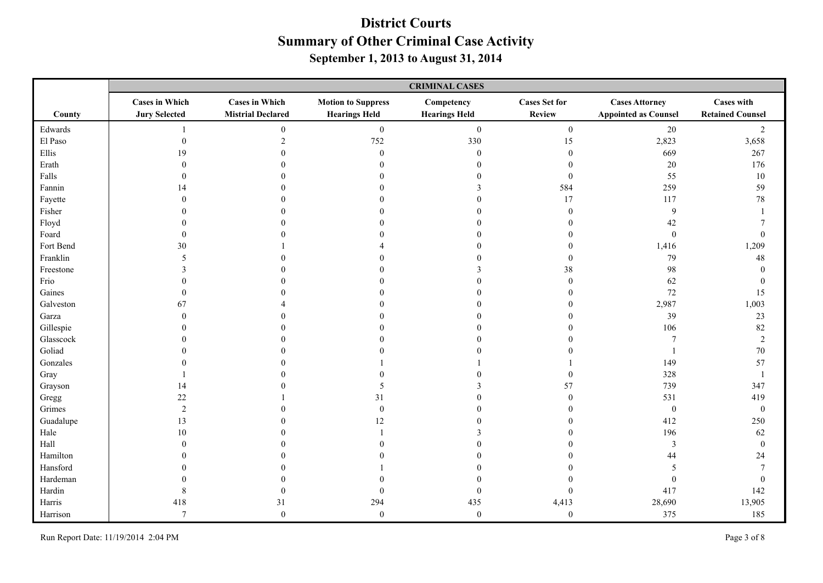|           | <b>CRIMINAL CASES</b>                         |                                                   |                                                   |                                    |                                |                                                      |                                              |
|-----------|-----------------------------------------------|---------------------------------------------------|---------------------------------------------------|------------------------------------|--------------------------------|------------------------------------------------------|----------------------------------------------|
| County    | <b>Cases in Which</b><br><b>Jury Selected</b> | <b>Cases in Which</b><br><b>Mistrial Declared</b> | <b>Motion to Suppress</b><br><b>Hearings Held</b> | Competency<br><b>Hearings Held</b> | <b>Cases Set for</b><br>Review | <b>Cases Attorney</b><br><b>Appointed as Counsel</b> | <b>Cases with</b><br><b>Retained Counsel</b> |
| Edwards   |                                               | $\overline{0}$                                    | $\boldsymbol{0}$                                  | $\boldsymbol{0}$                   | $\overline{0}$                 | $20\,$                                               | $\overline{2}$                               |
| El Paso   | $\boldsymbol{0}$                              | $\overline{2}$                                    | 752                                               | 330                                | 15                             | 2,823                                                | 3,658                                        |
| Ellis     | 19                                            |                                                   | $\theta$                                          | $\theta$                           | $\theta$                       | 669                                                  | 267                                          |
| Erath     |                                               |                                                   |                                                   |                                    | $\theta$                       | 20                                                   | 176                                          |
| Falls     |                                               |                                                   |                                                   |                                    | $\mathbf{0}$                   | 55                                                   | $10\,$                                       |
| Fannin    | 14                                            |                                                   |                                                   |                                    | 584                            | 259                                                  | 59                                           |
| Fayette   |                                               |                                                   |                                                   |                                    | 17                             | 117                                                  | 78                                           |
| Fisher    |                                               |                                                   |                                                   |                                    | $\Omega$                       | 9                                                    | $\overline{\phantom{a}}$                     |
| Floyd     |                                               |                                                   |                                                   |                                    | $\Omega$                       | 42                                                   |                                              |
| Foard     |                                               |                                                   |                                                   |                                    | $\Omega$                       | $\theta$                                             | $\Omega$                                     |
| Fort Bend | 30                                            |                                                   |                                                   |                                    | $\theta$                       | 1,416                                                | 1,209                                        |
| Franklin  | 5                                             |                                                   |                                                   |                                    | $\theta$                       | 79                                                   | 48                                           |
| Freestone | 3                                             |                                                   |                                                   |                                    | 38                             | 98                                                   | $\Omega$                                     |
| Frio      |                                               |                                                   |                                                   |                                    | $\theta$                       | 62                                                   | $\mathbf{0}$                                 |
| Gaines    |                                               |                                                   |                                                   |                                    | $\theta$                       | 72                                                   | 15                                           |
| Galveston | 67                                            |                                                   |                                                   |                                    | $\theta$                       | 2,987                                                | 1,003                                        |
| Garza     |                                               |                                                   |                                                   |                                    | $\Omega$                       | 39                                                   | $23\,$                                       |
| Gillespie |                                               |                                                   |                                                   |                                    | $\Omega$                       | 106                                                  | 82                                           |
| Glasscock |                                               |                                                   |                                                   |                                    | $\theta$                       | $\overline{7}$                                       | $\sqrt{2}$                                   |
| Goliad    |                                               |                                                   |                                                   |                                    |                                |                                                      | 70                                           |
| Gonzales  |                                               |                                                   |                                                   |                                    |                                | 149                                                  | 57                                           |
| Gray      |                                               |                                                   |                                                   |                                    | $\theta$                       | 328                                                  | $\overline{1}$                               |
| Grayson   | 14                                            |                                                   |                                                   |                                    | 57                             | 739                                                  | 347                                          |
| Gregg     | $22\,$                                        |                                                   | 31                                                |                                    | $\theta$                       | 531                                                  | 419                                          |
| Grimes    | $\overline{2}$                                |                                                   | $\theta$                                          |                                    | $\Omega$                       | $\mathbf{0}$                                         | $\boldsymbol{0}$                             |
| Guadalupe | 13                                            |                                                   | 12                                                |                                    | $\theta$                       | 412                                                  | 250                                          |
| Hale      | 10                                            |                                                   |                                                   |                                    | $\Omega$                       | 196                                                  | 62                                           |
| Hall      |                                               |                                                   |                                                   |                                    | $\Omega$                       | $\mathfrak{Z}$                                       | $\boldsymbol{0}$                             |
| Hamilton  |                                               |                                                   |                                                   |                                    |                                | 44                                                   | 24                                           |
| Hansford  |                                               |                                                   |                                                   |                                    |                                | 5                                                    | $\overline{7}$                               |
| Hardeman  |                                               |                                                   |                                                   |                                    |                                | $\mathbf{0}$                                         | $\mathbf{0}$                                 |
| Hardin    | 8                                             |                                                   | $\Omega$                                          | $\theta$                           | $\theta$                       | 417                                                  | 142                                          |
| Harris    | 418                                           | 31                                                | 294                                               | 435                                | 4,413                          | 28,690                                               | 13,905                                       |
| Harrison  | $\tau$                                        | $\Omega$                                          | $\mathbf{0}$                                      | $\overline{0}$                     | $\theta$                       | 375                                                  | 185                                          |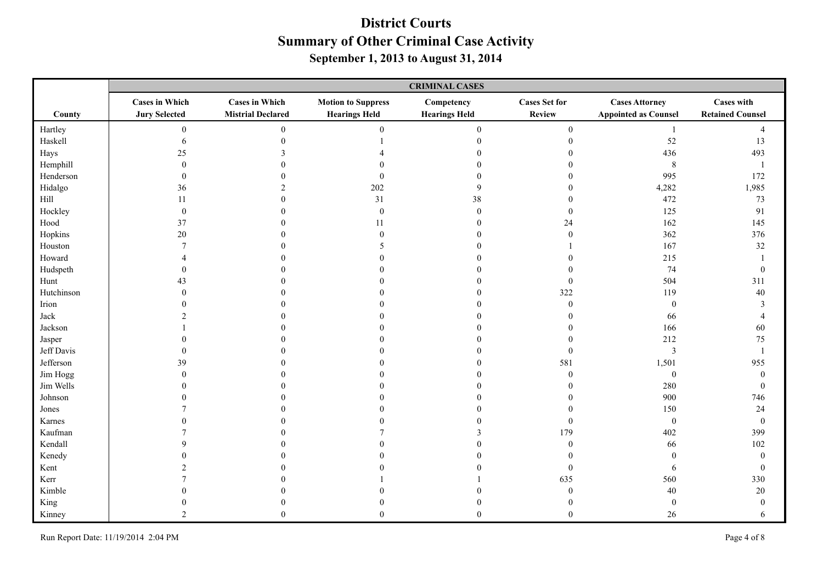|            | <b>CRIMINAL CASES</b>                         |                                                   |                                                   |                                    |                                |                                                      |                                              |  |
|------------|-----------------------------------------------|---------------------------------------------------|---------------------------------------------------|------------------------------------|--------------------------------|------------------------------------------------------|----------------------------------------------|--|
| County     | <b>Cases in Which</b><br><b>Jury Selected</b> | <b>Cases in Which</b><br><b>Mistrial Declared</b> | <b>Motion to Suppress</b><br><b>Hearings Held</b> | Competency<br><b>Hearings Held</b> | <b>Cases Set for</b><br>Review | <b>Cases Attorney</b><br><b>Appointed as Counsel</b> | <b>Cases with</b><br><b>Retained Counsel</b> |  |
| Hartley    | $\overline{0}$                                | $\overline{0}$                                    | $\boldsymbol{0}$                                  | $\boldsymbol{0}$                   | $\overline{0}$                 | -1                                                   | $\overline{4}$                               |  |
| Haskell    | 6                                             | $\Omega$                                          |                                                   | $\theta$                           | $\mathbf{0}$                   | 52                                                   | 13                                           |  |
| Hays       | 25                                            |                                                   |                                                   |                                    |                                | 436                                                  | 493                                          |  |
| Hemphill   | $\Omega$                                      |                                                   |                                                   |                                    |                                | $\,8\,$                                              | $\mathbf{1}$                                 |  |
| Henderson  | $\Omega$                                      |                                                   | $\mathbf{0}$                                      |                                    | $\Omega$                       | 995                                                  | 172                                          |  |
| Hidalgo    | 36                                            | $\mathfrak{D}$                                    | 202                                               | 9                                  | $\Omega$                       | 4,282                                                | 1,985                                        |  |
| Hill       | 11                                            |                                                   | 31                                                | 38                                 | $\Omega$                       | 472                                                  | 73                                           |  |
| Hockley    | $\theta$                                      |                                                   | $\mathbf{0}$                                      | $\boldsymbol{0}$                   | $\mathbf{0}$                   | 125                                                  | 91                                           |  |
| Hood       | 37                                            |                                                   | 11                                                | $\Omega$                           | 24                             | 162                                                  | 145                                          |  |
| Hopkins    | 20                                            |                                                   | $\Omega$                                          | 0                                  | $\theta$                       | 362                                                  | 376                                          |  |
| Houston    |                                               |                                                   |                                                   |                                    |                                | 167                                                  | 32                                           |  |
| Howard     |                                               |                                                   |                                                   |                                    | 0                              | 215                                                  | $\mathbf{1}$                                 |  |
| Hudspeth   | $\Omega$                                      |                                                   |                                                   |                                    | $\Omega$                       | 74                                                   | $\boldsymbol{0}$                             |  |
| Hunt       | 43                                            |                                                   |                                                   |                                    | $\mathbf{0}$                   | 504                                                  | 311                                          |  |
| Hutchinson | ∩                                             |                                                   |                                                   |                                    | 322                            | 119                                                  | 40                                           |  |
| Irion      |                                               |                                                   |                                                   |                                    | $\theta$                       | $\overline{0}$                                       | 3                                            |  |
| Jack       |                                               |                                                   |                                                   |                                    | $\Omega$                       | 66                                                   | $\overline{4}$                               |  |
| Jackson    |                                               |                                                   |                                                   |                                    | $\Omega$                       | 166                                                  | 60                                           |  |
| Jasper     |                                               |                                                   |                                                   |                                    | $\Omega$                       | 212                                                  | 75                                           |  |
| Jeff Davis | $\theta$                                      |                                                   |                                                   |                                    | $\mathbf{0}$                   | $\mathfrak z$                                        | $\mathbf{1}$                                 |  |
| Jefferson  | 39                                            |                                                   |                                                   |                                    | 581                            | 1,501                                                | 955                                          |  |
| Jim Hogg   | $\theta$                                      |                                                   |                                                   |                                    | $\mathbf{0}$                   | $\boldsymbol{0}$                                     | $\boldsymbol{0}$                             |  |
| Jim Wells  | $\Omega$                                      |                                                   |                                                   |                                    | $\Omega$                       | 280                                                  | $\boldsymbol{0}$                             |  |
| Johnson    |                                               |                                                   |                                                   |                                    | $\Omega$                       | 900                                                  | 746                                          |  |
| Jones      |                                               |                                                   |                                                   |                                    | $\Omega$                       | 150                                                  | 24                                           |  |
| Karnes     |                                               |                                                   |                                                   |                                    | $\theta$                       | $\boldsymbol{0}$                                     | $\boldsymbol{0}$                             |  |
| Kaufman    |                                               |                                                   |                                                   |                                    | 179                            | 402                                                  | 399                                          |  |
| Kendall    | Ω                                             |                                                   |                                                   |                                    | $\Omega$                       | 66                                                   | $102\,$                                      |  |
| Kenedy     |                                               |                                                   |                                                   |                                    | $\Omega$                       | $\theta$                                             | $\boldsymbol{0}$                             |  |
| Kent       |                                               |                                                   |                                                   |                                    | $\mathbf{0}$                   | 6                                                    | $\boldsymbol{0}$                             |  |
| Kerr       |                                               |                                                   |                                                   |                                    | 635                            | 560                                                  | 330                                          |  |
| Kimble     |                                               |                                                   |                                                   |                                    | $\Omega$                       | 40                                                   | $20\,$                                       |  |
| King       |                                               |                                                   |                                                   |                                    | $\mathbf{0}$                   | $\boldsymbol{0}$                                     | $\boldsymbol{0}$                             |  |
| Kinney     | $\mathcal{D}$                                 | $\Omega$                                          | $\Omega$                                          | $\Omega$                           | $\Omega$                       | 26                                                   | 6                                            |  |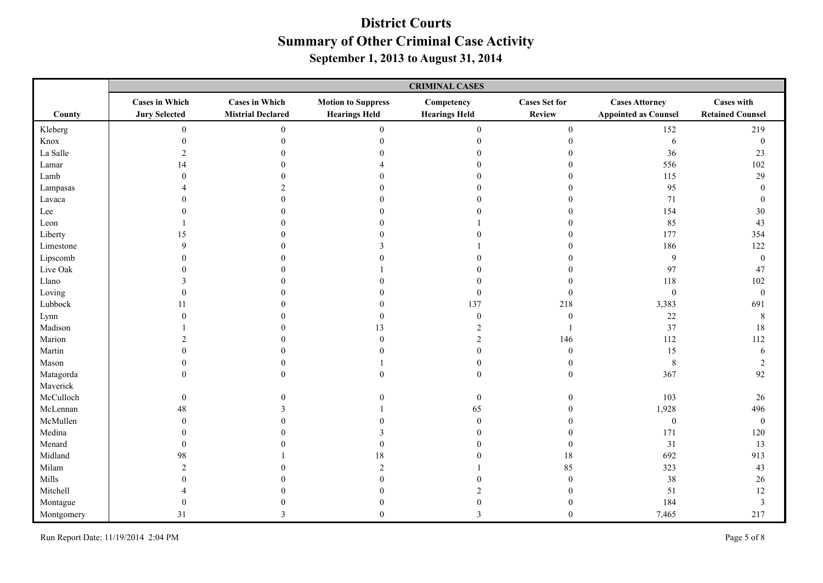|            | <b>CRIMINAL CASES</b>                         |                                                   |                                                   |                                    |                                |                                                      |                                              |
|------------|-----------------------------------------------|---------------------------------------------------|---------------------------------------------------|------------------------------------|--------------------------------|------------------------------------------------------|----------------------------------------------|
| County     | <b>Cases in Which</b><br><b>Jury Selected</b> | <b>Cases in Which</b><br><b>Mistrial Declared</b> | <b>Motion to Suppress</b><br><b>Hearings Held</b> | Competency<br><b>Hearings Held</b> | <b>Cases Set for</b><br>Review | <b>Cases Attorney</b><br><b>Appointed as Counsel</b> | <b>Cases with</b><br><b>Retained Counsel</b> |
| Kleberg    | $\mathbf{0}$                                  | $\overline{0}$                                    | $\boldsymbol{0}$                                  | $\boldsymbol{0}$                   | $\mathbf{0}$                   | 152                                                  | 219                                          |
| Knox       | $\mathbf{0}$                                  | $\overline{0}$                                    | $\Omega$                                          | $\overline{0}$                     | $\boldsymbol{0}$               | 6                                                    | $\boldsymbol{0}$                             |
| La Salle   | $\overline{2}$                                |                                                   |                                                   |                                    |                                | $36\,$                                               | $23\,$                                       |
| Lamar      | 14                                            |                                                   |                                                   |                                    | $\Omega$                       | 556                                                  | 102                                          |
| Lamb       | $\Omega$                                      |                                                   |                                                   |                                    | $\Omega$                       | 115                                                  | 29                                           |
| Lampasas   |                                               |                                                   |                                                   |                                    | $\Omega$                       | 95                                                   | $\boldsymbol{0}$                             |
| Lavaca     |                                               |                                                   |                                                   |                                    | $\Omega$                       | 71                                                   | $\boldsymbol{0}$                             |
| Lee        |                                               |                                                   |                                                   |                                    | $\Omega$                       | 154                                                  | 30                                           |
| Leon       |                                               |                                                   |                                                   |                                    | $\Omega$                       | 85                                                   | 43                                           |
| Liberty    | 15                                            |                                                   |                                                   |                                    | $\Omega$                       | 177                                                  | 354                                          |
| Limestone  | $\mathbf Q$                                   |                                                   |                                                   |                                    | $\Omega$                       | 186                                                  | 122                                          |
| Lipscomb   |                                               |                                                   |                                                   |                                    |                                | $\overline{9}$                                       | $\boldsymbol{0}$                             |
| Live Oak   |                                               |                                                   |                                                   |                                    | $\Omega$                       | 97                                                   | 47                                           |
| Llano      |                                               |                                                   |                                                   |                                    | $\Omega$                       | 118                                                  | $102\,$                                      |
| Loving     | $\Omega$                                      |                                                   |                                                   | $\Omega$                           | $\theta$                       | $\boldsymbol{0}$                                     | $\boldsymbol{0}$                             |
| Lubbock    | 11                                            |                                                   |                                                   | 137                                | 218                            | 3,383                                                | 691                                          |
| Lynn       | $\Omega$                                      |                                                   | $\Omega$                                          | $\theta$                           | $\mathbf{0}$                   | $22\,$                                               | $\,8\,$                                      |
| Madison    |                                               |                                                   | 13                                                |                                    |                                | 37                                                   | 18                                           |
| Marion     |                                               |                                                   | $\theta$                                          | $\overline{2}$                     | 146                            | 112                                                  | 112                                          |
| Martin     |                                               |                                                   |                                                   | $\overline{0}$                     | $\mathbf{0}$                   | 15                                                   | $\sqrt{6}$                                   |
| Mason      | $\theta$                                      |                                                   |                                                   | $\boldsymbol{0}$                   | $\mathbf{0}$                   | $\,8\,$                                              | $\sqrt{2}$                                   |
| Matagorda  | $\mathbf{0}$                                  | $\Omega$                                          | $\mathbf{0}$                                      | $\boldsymbol{0}$                   | $\mathbf{0}$                   | 367                                                  | 92                                           |
| Maverick   |                                               |                                                   |                                                   |                                    |                                |                                                      |                                              |
| McCulloch  | $\mathbf{0}$                                  |                                                   |                                                   | $\boldsymbol{0}$                   | $\theta$                       | 103                                                  | 26                                           |
| McLennan   | 48                                            |                                                   |                                                   | 65                                 | $\Omega$                       | 1,928                                                | 496                                          |
| McMullen   | $\theta$                                      |                                                   |                                                   | $\boldsymbol{0}$                   | $\theta$                       | $\boldsymbol{0}$                                     | $\boldsymbol{0}$                             |
| Medina     | $\Omega$                                      |                                                   |                                                   | $\Omega$                           | $\Omega$                       | 171                                                  | 120                                          |
| Menard     | $\Omega$                                      |                                                   | $\theta$                                          | $\Omega$                           | $\Omega$                       | 31                                                   | 13                                           |
| Midland    | 98                                            |                                                   | 18                                                |                                    | 18                             | 692                                                  | 913                                          |
| Milam      | $\mathfrak{D}$                                |                                                   | $\mathfrak{D}$                                    |                                    | 85                             | 323                                                  | 43                                           |
| Mills      |                                               |                                                   |                                                   |                                    | $\Omega$                       | $38\,$                                               | 26                                           |
| Mitchell   |                                               |                                                   |                                                   |                                    | $\Omega$                       | 51                                                   | 12                                           |
| Montague   | $\Omega$                                      |                                                   |                                                   |                                    | $\mathbf{0}$                   | 184                                                  | $\mathfrak{Z}$                               |
| Montgomery | 31                                            | 3                                                 | $\Omega$                                          | 3                                  | $\theta$                       | 7,465                                                | 217                                          |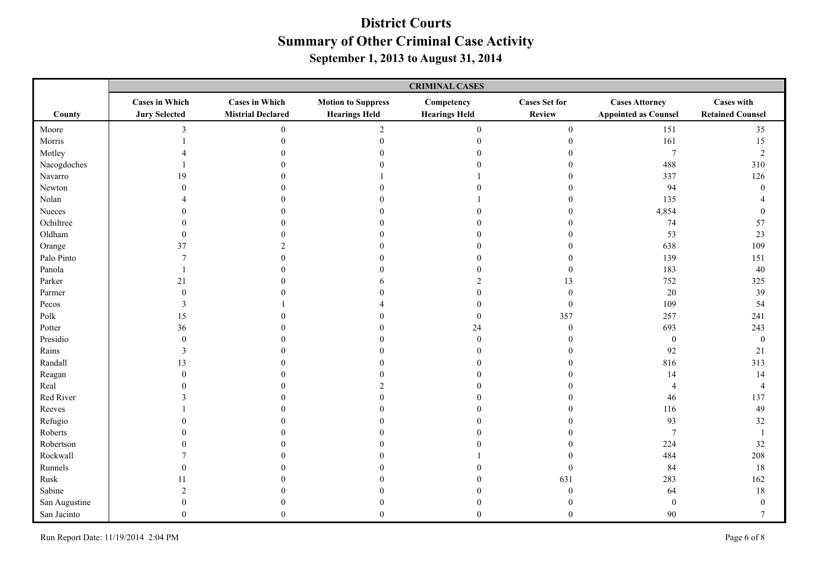|                       | <b>CRIMINAL CASES</b>                         |                                                   |                                                   |                                    |                                       |                                                      |                                              |
|-----------------------|-----------------------------------------------|---------------------------------------------------|---------------------------------------------------|------------------------------------|---------------------------------------|------------------------------------------------------|----------------------------------------------|
| County                | <b>Cases in Which</b><br><b>Jury Selected</b> | <b>Cases in Which</b><br><b>Mistrial Declared</b> | <b>Motion to Suppress</b><br><b>Hearings Held</b> | Competency<br><b>Hearings Held</b> | <b>Cases Set for</b><br><b>Review</b> | <b>Cases Attorney</b><br><b>Appointed as Counsel</b> | <b>Cases with</b><br><b>Retained Counsel</b> |
| Moore                 | 3                                             | $\overline{0}$                                    | $\overline{2}$                                    | $\boldsymbol{0}$                   | $\mathbf{0}$                          | 151                                                  | 35                                           |
| Morris                |                                               | $\overline{0}$                                    | $\theta$                                          | $\boldsymbol{0}$                   | $\boldsymbol{0}$                      | 161                                                  | 15                                           |
| Motley                |                                               |                                                   |                                                   | $\Omega$                           |                                       | $\overline{7}$                                       | $\sqrt{2}$                                   |
| Nacogdoches           |                                               |                                                   |                                                   |                                    |                                       | 488                                                  | 310                                          |
| Navarro               | 19                                            |                                                   |                                                   |                                    | $\Omega$                              | 337                                                  | 126                                          |
| Newton                | $\Omega$                                      |                                                   |                                                   |                                    | $\Omega$                              | 94                                                   | $\mathbf{0}$                                 |
| Nolan                 |                                               |                                                   |                                                   |                                    | $\Omega$                              | 135                                                  |                                              |
| Nueces                |                                               |                                                   |                                                   |                                    | $\Omega$                              | 4,854                                                | $\boldsymbol{0}$                             |
| Ochiltree             |                                               |                                                   |                                                   |                                    | $\Omega$                              | 74                                                   | 57                                           |
| Oldham                | $\Omega$                                      |                                                   |                                                   |                                    | $\Omega$                              | 53                                                   | 23                                           |
| Orange                | 37                                            |                                                   |                                                   |                                    | $\Omega$                              | 638                                                  | 109                                          |
| Palo Pinto            |                                               |                                                   |                                                   |                                    | $\Omega$                              | 139                                                  | 151                                          |
| Panola                |                                               |                                                   |                                                   |                                    | $\theta$                              | 183                                                  | 40                                           |
| Parker                | 21                                            |                                                   |                                                   |                                    | 13                                    | 752                                                  | 325                                          |
| Parmer                |                                               |                                                   |                                                   |                                    | $\Omega$                              | $20\,$                                               | 39                                           |
| Pecos                 | 3                                             |                                                   |                                                   |                                    | $\mathbf{0}$                          | 109                                                  | 54                                           |
| $\operatorname{Polk}$ | 15                                            |                                                   |                                                   | $\theta$                           | 357                                   | 257                                                  | 241                                          |
| Potter                | 36                                            |                                                   |                                                   | 24                                 | $\mathbf{0}$                          | 693                                                  | 243                                          |
| Presidio              | $\theta$                                      |                                                   |                                                   | $\overline{0}$                     | $\theta$                              | $\boldsymbol{0}$                                     | $\boldsymbol{0}$                             |
| Rains                 | 3                                             |                                                   |                                                   |                                    | $\Omega$                              | 92                                                   | 21                                           |
| Randall               | 13                                            |                                                   |                                                   |                                    | $\theta$                              | 816                                                  | 313                                          |
| Reagan                | $\Omega$                                      |                                                   |                                                   |                                    | $\Omega$                              | 14                                                   | 14                                           |
| Real                  | 0                                             |                                                   |                                                   |                                    |                                       | $\overline{4}$                                       | $\overline{4}$                               |
| Red River             | $\mathbf{3}$                                  |                                                   |                                                   |                                    | $\Omega$                              | 46                                                   | 137                                          |
| Reeves                |                                               |                                                   |                                                   |                                    | $\Omega$                              | 116                                                  | 49                                           |
| Refugio               | $\Omega$                                      |                                                   |                                                   | $\Omega$                           | $\Omega$                              | 93                                                   | 32                                           |
| Roberts               | 0                                             |                                                   |                                                   |                                    |                                       | $\overline{7}$                                       | $\mathbf{1}$                                 |
| Robertson             |                                               |                                                   |                                                   |                                    | $\Omega$                              | 224                                                  | 32                                           |
| Rockwall              |                                               |                                                   |                                                   |                                    | $\Omega$                              | 484                                                  | 208                                          |
| Runnels               |                                               |                                                   |                                                   |                                    | $\mathbf{0}$                          | 84                                                   | 18                                           |
| Rusk                  |                                               |                                                   |                                                   |                                    | 631                                   | 283                                                  | 162                                          |
| Sabine                |                                               |                                                   |                                                   |                                    | $\Omega$                              | 64                                                   | 18                                           |
| San Augustine         | $\Omega$                                      |                                                   |                                                   |                                    | $\mathbf{0}$                          | $\boldsymbol{0}$                                     | $\boldsymbol{0}$                             |
| San Jacinto           | $\Omega$                                      | $\Omega$                                          | $\Omega$                                          | $\theta$                           | $\Omega$                              | 90                                                   | $\tau$                                       |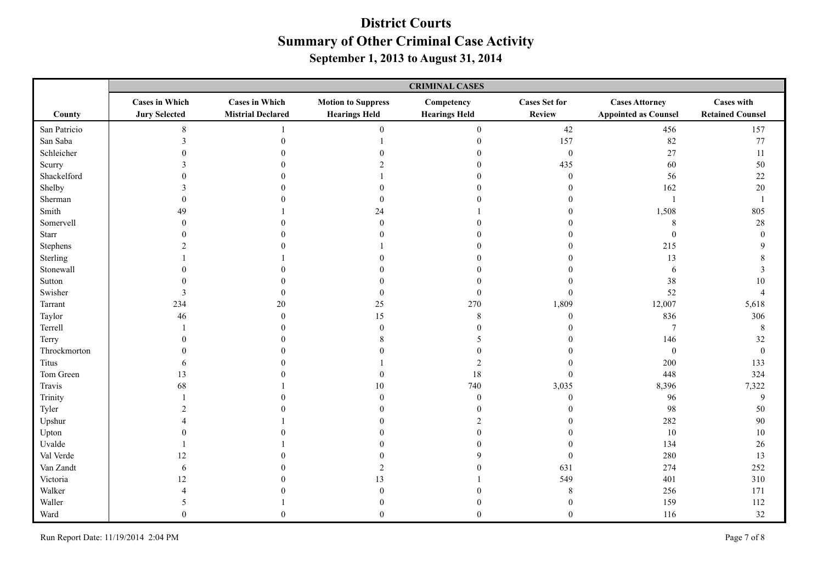|              | <b>CRIMINAL CASES</b>                         |                                                   |                                                   |                                    |                                |                                                      |                                              |
|--------------|-----------------------------------------------|---------------------------------------------------|---------------------------------------------------|------------------------------------|--------------------------------|------------------------------------------------------|----------------------------------------------|
| County       | <b>Cases in Which</b><br><b>Jury Selected</b> | <b>Cases in Which</b><br><b>Mistrial Declared</b> | <b>Motion to Suppress</b><br><b>Hearings Held</b> | Competency<br><b>Hearings Held</b> | <b>Cases Set for</b><br>Review | <b>Cases Attorney</b><br><b>Appointed as Counsel</b> | <b>Cases with</b><br><b>Retained Counsel</b> |
| San Patricio | 8                                             |                                                   | $\Omega$                                          | $\mathbf{0}$                       | 42                             | 456                                                  | 157                                          |
| San Saba     | 3                                             |                                                   |                                                   | $\boldsymbol{0}$                   | 157                            | 82                                                   | $77\,$                                       |
| Schleicher   |                                               |                                                   |                                                   | $\Omega$                           | $\boldsymbol{0}$               | 27                                                   | $11\,$                                       |
| Scurry       |                                               |                                                   |                                                   | $\Omega$                           | 435                            | 60                                                   | 50                                           |
| Shackelford  |                                               |                                                   |                                                   | $\Omega$                           | $\mathbf{0}$                   | 56                                                   | $22\,$                                       |
| Shelby       |                                               |                                                   |                                                   |                                    | $\Omega$                       | 162                                                  | $20\,$                                       |
| Sherman      |                                               |                                                   | $\theta$                                          |                                    |                                | $\overline{1}$                                       | $\mathbf{1}$                                 |
| Smith        | 49                                            |                                                   | 24                                                |                                    | $\Omega$                       | 1,508                                                | 805                                          |
| Somervell    | $\Omega$                                      |                                                   | $\theta$                                          |                                    | 0                              | 8                                                    | $28\,$                                       |
| Starr        |                                               |                                                   |                                                   |                                    |                                | $\mathbf{0}$                                         | $\mathbf{0}$                                 |
| Stephens     |                                               |                                                   |                                                   |                                    | 0                              | 215                                                  | 9                                            |
| Sterling     |                                               |                                                   |                                                   |                                    |                                | 13                                                   | 8                                            |
| Stonewall    |                                               |                                                   |                                                   |                                    |                                | 6                                                    | 3                                            |
| Sutton       |                                               |                                                   |                                                   |                                    |                                | $38\,$                                               | $10\,$                                       |
| Swisher      |                                               |                                                   | 0                                                 | $\Omega$                           | $\theta$                       | 52                                                   | $\overline{4}$                               |
| Tarrant      | 234                                           | 20                                                | 25                                                | 270                                | 1,809                          | 12,007                                               | 5,618                                        |
| Taylor       | 46                                            |                                                   | 15                                                | 8                                  | $\mathbf{0}$                   | 836                                                  | 306                                          |
| Terrell      |                                               |                                                   | $\theta$                                          |                                    | $\Omega$                       | $\overline{7}$                                       | 8                                            |
| Terry        |                                               |                                                   |                                                   |                                    |                                | 146                                                  | 32                                           |
| Throckmorton |                                               |                                                   |                                                   |                                    |                                | $\boldsymbol{0}$                                     | $\boldsymbol{0}$                             |
| Titus        | $\mathbf b$                                   |                                                   |                                                   | $\overline{2}$                     |                                | 200                                                  | 133                                          |
| Tom Green    | 13                                            |                                                   | $\theta$                                          | 18                                 | $\mathbf{0}$                   | 448                                                  | 324                                          |
| Travis       | 68                                            |                                                   | 10                                                | 740                                | 3,035                          | 8,396                                                | 7,322                                        |
| Trinity      |                                               |                                                   | $\Omega$                                          | $\theta$                           | $\Omega$                       | 96                                                   | $\mathbf{9}$                                 |
| Tyler        | $\mathcal{L}$                                 |                                                   |                                                   | $\bigcap$                          | $\Omega$                       | 98                                                   | 50                                           |
| Upshur       |                                               |                                                   |                                                   | $\bigcap$                          |                                | 282                                                  | 90                                           |
| Upton        |                                               |                                                   |                                                   | $\Omega$                           |                                | 10                                                   | 10                                           |
| Uvalde       |                                               |                                                   |                                                   | $\Omega$                           | $\Omega$                       | 134                                                  | 26                                           |
| Val Verde    | 12                                            |                                                   |                                                   | $\mathbf Q$                        | $\mathbf{0}$                   | 280                                                  | 13                                           |
| Van Zandt    | 6                                             |                                                   | $\mathfrak{D}$                                    |                                    | 631                            | 274                                                  | 252                                          |
| Victoria     | 12                                            |                                                   | 13                                                |                                    | 549                            | 401                                                  | 310                                          |
| Walker       |                                               |                                                   |                                                   |                                    | 8                              | 256                                                  | 171                                          |
| Waller       | 5                                             |                                                   |                                                   |                                    | $\mathbf{0}$                   | 159                                                  | 112                                          |
| Ward         | $\Omega$                                      |                                                   | $\Omega$                                          | $\Omega$                           | $\Omega$                       | 116                                                  | 32                                           |